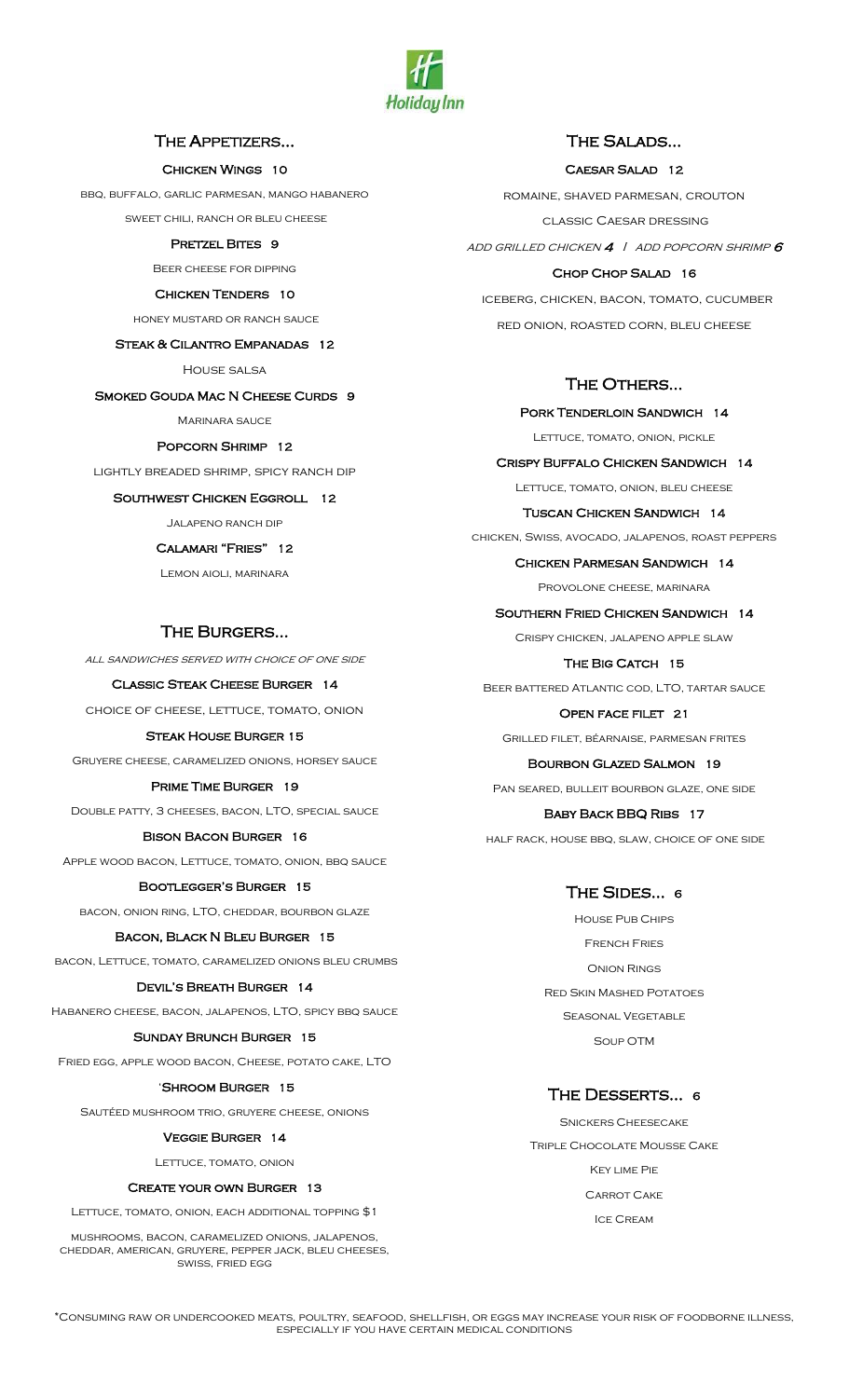

# THE APPETIZERS…

### Chicken Wings 10

bbq, buffalo, garlic parmesan, mango habanero

sweet chili, ranch or bleu cheese

# PRETZEL BITES 9

Beer cheese for dipping

#### CHICKEN TENDERS 10

honey mustard or ranch sauce

# Steak & Cilantro Empanadas 12

HOUSE SALSA

#### SMOKED GOUDA MAC N CHEESE CURDS 9

MARINARA SAUCE

#### Popcorn Shrimp 12

lightly breaded shrimp, spicy ranch dip

# SOUTHWEST CHICKEN EGGROLL 12

Jalapeno ranch dip

# Calamari "Fries" 12

Lemon aioli, marinara

# The Burgers…

all sandwiches served with choice of one side

# Classic Steak Cheese Burger 14

choice of cheese, lettuce, tomato, onion

#### Steak House Burger 15

Gruyere cheese, caramelized onions, horsey sauce

#### Prime Time Burger 19

Double patty, 3 cheeses, bacon, LTO, special sauce

#### Bison Bacon Burger 16

Apple wood bacon, Lettuce, tomato, onion, bbq sauce

#### Bootlegger's Burger 15

bacon, onion ring, LTO, cheddar, bourbon glaze

#### Bacon, Black N Bleu Burger 15

bacon, Lettuce, tomato, caramelized onions bleu crumbs

#### Devil's Breath Burger 14

Habanero cheese, bacon, jalapenos, LTO, spicy bbq sauce

## Sunday Brunch Burger 15

Fried egg, apple wood bacon, Cheese, potato cake, LTO

#### 'Shroom Burger 15

Sautéed mushroom trio, gruyere cheese, onions

#### Veggie Burger 14

Lettuce, tomato, onion

#### Create your own Burger 13

Lettuce, tomato, onion, each additional topping \$1

mushrooms, bacon, caramelized onions, jalapenos, cheddar, american, gruyere, pepper jack, bleu cheeses, swiss, fried egg

# The Salads…

# Caesar Salad 12

romaine, shaved parmesan, crouton classic Caesar dressing ADD GRILLED CHICKEN  $4$  | ADD POPCORN SHRIMP  $6$ Chop Chop Salad 16

 iceberg, chicken, bacon, tomato, cucumber red onion, roasted corn, bleu cheese

# THE OTHERS...

PORK TENDERLOIN SANDWICH 14 Lettuce, tomato, onion, pickle

Crispy Buffalo Chicken Sandwich 14 Lettuce, tomato, onion, bleu cheese

#### Tuscan Chicken Sandwich 14

chicken, Swiss, avocado, jalapenos, roast peppers

#### Chicken Parmesan Sandwich 14

PROVOLONE CHEESE, MARINARA

Southern Fried Chicken Sandwich 14

Crispy chicken, jalapeno apple slaw

#### THE BIG CATCH 15

Beer battered Atlantic cod, LTO, tartar sauce

# Open face filet 21

Grilled filet, béarnaise, parmesan frites

#### Bourbon Glazed Salmon 19

Pan seared, bulleit bourbon glaze, one side

## Baby Back BBQ Ribs 17

half rack, house bbq, slaw, choice of one side

# THE SIDES... 6

House Pub Chips French Fries Onion Rings Red Skin Mashed Potatoes Seasonal Vegetable Soup OTM

# The Desserts… <sup>6</sup>

Snickers Cheesecake Triple Chocolate Mousse Cake Key lime Pie Carrot Cake Ice Cream